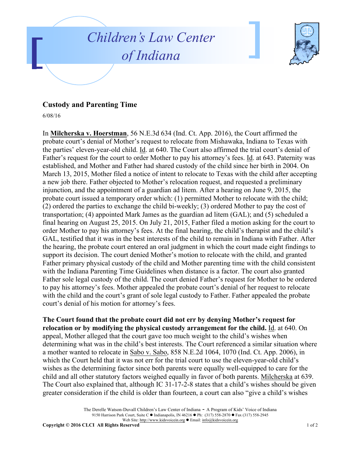



## **Custody and Parenting Time**

6/08/16

In **Milcherska v. Hoerstman**, 56 N.E.3d 634 (Ind. Ct. App. 2016), the Court affirmed the probate court's denial of Mother's request to relocate from Mishawaka, Indiana to Texas with the parties' eleven-year-old child. Id. at 640. The Court also affirmed the trial court's denial of Father's request for the court to order Mother to pay his attorney's fees. Id. at 643. Paternity was established, and Mother and Father had shared custody of the child since her birth in 2004. On March 13, 2015, Mother filed a notice of intent to relocate to Texas with the child after accepting a new job there. Father objected to Mother's relocation request, and requested a preliminary injunction, and the appointment of a guardian ad litem. After a hearing on June 9, 2015, the probate court issued a temporary order which: (1) permitted Mother to relocate with the child; (2) ordered the parties to exchange the child bi-weekly; (3) ordered Mother to pay the cost of transportation; (4) appointed Mark James as the guardian ad litem (GAL); and (5) scheduled a final hearing on August 25, 2015. On July 21, 2015, Father filed a motion asking for the court to order Mother to pay his attorney's fees. At the final hearing, the child's therapist and the child's GAL, testified that it was in the best interests of the child to remain in Indiana with Father. After the hearing, the probate court entered an oral judgment in which the court made eight findings to support its decision. The court denied Mother's motion to relocate with the child, and granted Father primary physical custody of the child and Mother parenting time with the child consistent with the Indiana Parenting Time Guidelines when distance is a factor. The court also granted Father sole legal custody of the child. The court denied Father's request for Mother to be ordered to pay his attorney's fees. Mother appealed the probate court's denial of her request to relocate with the child and the court's grant of sole legal custody to Father. Father appealed the probate court's denial of his motion for attorney's fees.

**The Court found that the probate court did not err by denying Mother's request for relocation or by modifying the physical custody arrangement for the child.** Id. at 640. On appeal, Mother alleged that the court gave too much weight to the child's wishes when determining what was in the child's best interests. The Court referenced a similar situation where a mother wanted to relocate in Sabo v. Sabo, 858 N.E.2d 1064, 1070 (Ind. Ct. App. 2006), in which the Court held that it was not err for the trial court to use the eleven-year-old child's wishes as the determining factor since both parents were equally well-equipped to care for the child and all other statutory factors weighed equally in favor of both parents. Milcherska at 639. The Court also explained that, although IC 31-17-2-8 states that a child's wishes should be given greater consideration if the child is older than fourteen, a court can also "give a child's wishes

> The Derelle Watson-Duvall Children's Law Center of Indiana - A Program of Kids' Voice of Indiana 9150 Harrison Park Court, Suite C  $\bullet$  Indianapolis, IN 46216  $\bullet$  Ph: (317) 558-2870  $\bullet$  Fax (317) 558-2945 Web Site: http://www.kidsvoicein.org <br>
> • Email: info@kidsvoicein.org

**Copyright © 2016 CLCI All Rights Reserved** 1 of 2